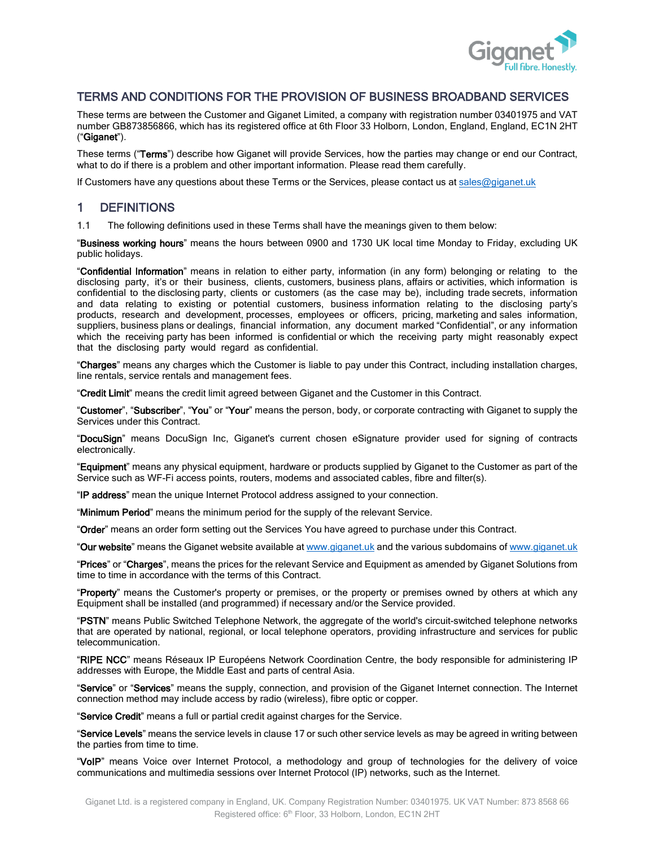

### TERMS AND CONDITIONS FOR THE PROVISION OF BUSINESS BROADBAND SERVICES

These terms are between the Customer and Giganet Limited, a company with registration number 03401975 and VAT number GB873856866, which has its registered office at 6th Floor 33 Holborn, London, England, England, EC1N 2HT ("Giganet").

These terms ("Terms") describe how Giganet will provide Services, how the parties may change or end our Contract, what to do if there is a problem and other important information. Please read them carefully.

If Customers have any questions about these Terms or the Services, please contact us at [sales@giganet.uk](mailto:sales@giganet.uk)

# 1 DEFINITIONS

1.1 The following definitions used in these Terms shall have the meanings given to them below:

"Business working hours" means the hours between 0900 and 1730 UK local time Monday to Friday, excluding UK public holidays.

"Confidential Information" means in relation to either party, information (in any form) belonging or relating to the disclosing party, it's or their business, clients, customers, business plans, affairs or activities, which information is confidential to the disclosing party, clients or customers (as the case may be), including trade secrets, information and data relating to existing or potential customers, business information relating to the disclosing party's products, research and development, processes, employees or officers, pricing, marketing and sales information, suppliers, business plans or dealings, financial information, any document marked "Confidential", or any information which the receiving party has been informed is confidential or which the receiving party might reasonably expect that the disclosing party would regard as confidential.

"Charges" means any charges which the Customer is liable to pay under this Contract, including installation charges, line rentals, service rentals and management fees.

"Credit Limit" means the credit limit agreed between Giganet and the Customer in this Contract.

"Customer", "Subscriber", "You" or "Your" means the person, body, or corporate contracting with Giganet to supply the Services under this Contract.

"DocuSign" means DocuSign Inc, Giganet's current chosen eSignature provider used for signing of contracts electronically.

"Equipment" means any physical equipment, hardware or products supplied by Giganet to the Customer as part of the Service such as WF-Fi access points, routers, modems and associated cables, fibre and filter(s).

"IP address" mean the unique Internet Protocol address assigned to your connection.

"Minimum Period" means the minimum period for the supply of the relevant Service.

"Order" means an order form setting out the Services You have agreed to purchase under this Contract.

"Our website" means the Giganet website available at [www.giganet.uk](http://www.giganet.uk/) and the various subdomains o[f www.giganet.uk](http://www.giganet.uk/)

"Prices" or "Charges", means the prices for the relevant Service and Equipment as amended by Giganet Solutions from time to time in accordance with the terms of this Contract.

"Property" means the Customer's property or premises, or the property or premises owned by others at which any Equipment shall be installed (and programmed) if necessary and/or the Service provided.

"PSTN" means Public Switched Telephone Network, the aggregate of the world's circuit-switched telephone networks that are operated by national, regional, or local telephone operators, providing infrastructure and services for public telecommunication.

"RIPE NCC" means Réseaux IP Européens Network Coordination Centre, the body responsible for administering IP addresses with Europe, the Middle East and parts of central Asia.

"Service" or "Services" means the supply, connection, and provision of the Giganet Internet connection. The Internet connection method may include access by radio (wireless), fibre optic or copper.

"Service Credit" means a full or partial credit against charges for the Service.

"Service Levels" means the service levels in claus[e 17](#page-8-0) or such other service levels as may be agreed in writing between the parties from time to time.

"VoIP" means Voice over Internet Protocol, a methodology and group of technologies for the delivery of voice communications and multimedia sessions over Internet Protocol (IP) networks, such as the Internet.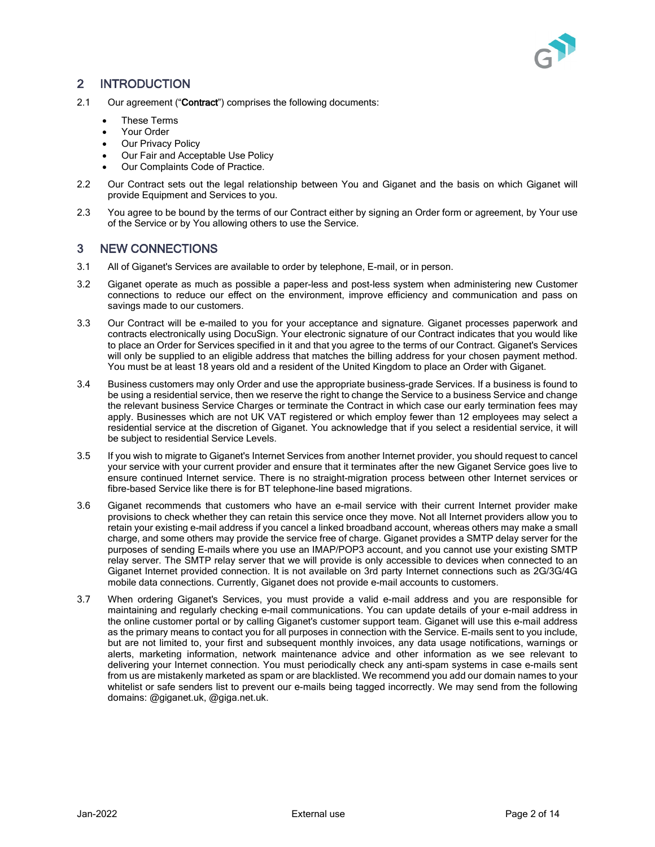

# 2 INTRODUCTION

- 2.1 Our agreement ("Contract") comprises the following documents:
	- These Terms
	- Your Order
	- **Our Privacy Policy**
	- Our Fair and Acceptable Use Policy
	- Our Complaints Code of Practice.
- 2.2 Our Contract sets out the legal relationship between You and Giganet and the basis on which Giganet will provide Equipment and Services to you.
- 2.3 You agree to be bound by the terms of our Contract either by signing an Order form or agreement, by Your use of the Service or by You allowing others to use the Service.

### 3 NEW CONNECTIONS

- 3.1 All of Giganet's Services are available to order by telephone, E-mail, or in person.
- 3.2 Giganet operate as much as possible a paper-less and post-less system when administering new Customer connections to reduce our effect on the environment, improve efficiency and communication and pass on savings made to our customers.
- 3.3 Our Contract will be e-mailed to you for your acceptance and signature. Giganet processes paperwork and contracts electronically using DocuSign. Your electronic signature of our Contract indicates that you would like to place an Order for Services specified in it and that you agree to the terms of our Contract. Giganet's Services will only be supplied to an eligible address that matches the billing address for your chosen payment method. You must be at least 18 years old and a resident of the United Kingdom to place an Order with Giganet.
- 3.4 Business customers may only Order and use the appropriate business-grade Services. If a business is found to be using a residential service, then we reserve the right to change the Service to a business Service and change the relevant business Service Charges or terminate the Contract in which case our early termination fees may apply. Businesses which are not UK VAT registered or which employ fewer than 12 employees may select a residential service at the discretion of Giganet. You acknowledge that if you select a residential service, it will be subject to residential Service Levels.
- 3.5 If you wish to migrate to Giganet's Internet Services from another Internet provider, you should request to cancel your service with your current provider and ensure that it terminates after the new Giganet Service goes live to ensure continued Internet service. There is no straight-migration process between other Internet services or fibre-based Service like there is for BT telephone-line based migrations.
- 3.6 Giganet recommends that customers who have an e-mail service with their current Internet provider make provisions to check whether they can retain this service once they move. Not all Internet providers allow you to retain your existing e-mail address if you cancel a linked broadband account, whereas others may make a small charge, and some others may provide the service free of charge. Giganet provides a SMTP delay server for the purposes of sending E-mails where you use an IMAP/POP3 account, and you cannot use your existing SMTP relay server. The SMTP relay server that we will provide is only accessible to devices when connected to an Giganet Internet provided connection. It is not available on 3rd party Internet connections such as 2G/3G/4G mobile data connections. Currently, Giganet does not provide e-mail accounts to customers.
- 3.7 When ordering Giganet's Services, you must provide a valid e-mail address and you are responsible for maintaining and regularly checking e-mail communications. You can update details of your e-mail address in the online customer portal or by calling Giganet's customer support team. Giganet will use this e-mail address as the primary means to contact you for all purposes in connection with the Service. E-mails sent to you include, but are not limited to, your first and subsequent monthly invoices, any data usage notifications, warnings or alerts, marketing information, network maintenance advice and other information as we see relevant to delivering your Internet connection. You must periodically check any anti-spam systems in case e-mails sent from us are mistakenly marketed as spam or are blacklisted. We recommend you add our domain names to your whitelist or safe senders list to prevent our e-mails being tagged incorrectly. We may send from the following domains: @giganet.uk, @giga.net.uk.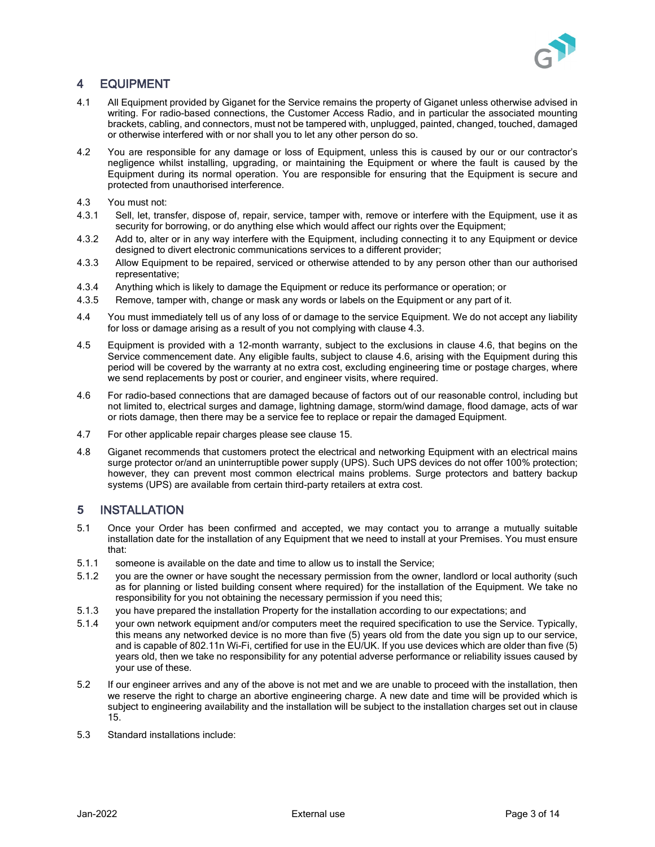

# 4 EQUIPMENT

- 4.1 All Equipment provided by Giganet for the Service remains the property of Giganet unless otherwise advised in writing. For radio-based connections, the Customer Access Radio, and in particular the associated mounting brackets, cabling, and connectors, must not be tampered with, unplugged, painted, changed, touched, damaged or otherwise interfered with or nor shall you to let any other person do so.
- 4.2 You are responsible for any damage or loss of Equipment, unless this is caused by our or our contractor's negligence whilst installing, upgrading, or maintaining the Equipment or where the fault is caused by the Equipment during its normal operation. You are responsible for ensuring that the Equipment is secure and protected from unauthorised interference.
- <span id="page-2-0"></span>4.3 You must not:
- 4.3.1 Sell, let, transfer, dispose of, repair, service, tamper with, remove or interfere with the Equipment, use it as security for borrowing, or do anything else which would affect our rights over the Equipment;
- 4.3.2 Add to, alter or in any way interfere with the Equipment, including connecting it to any Equipment or device designed to divert electronic communications services to a different provider;
- 4.3.3 Allow Equipment to be repaired, serviced or otherwise attended to by any person other than our authorised representative;
- 4.3.4 Anything which is likely to damage the Equipment or reduce its performance or operation; or
- 4.3.5 Remove, tamper with, change or mask any words or labels on the Equipment or any part of it.
- 4.4 You must immediately tell us of any loss of or damage to the service Equipment. We do not accept any liability for loss or damage arising as a result of you not complying with clause [4.3.](#page-2-0)
- 4.5 Equipment is provided with a 12-month warranty, subject to the exclusions in clause [4.6,](#page-2-1) that begins on the Service commencement date. Any eligible faults, subject to clause [4.6,](#page-2-1) arising with the Equipment during this period will be covered by the warranty at no extra cost, excluding engineering time or postage charges, where we send replacements by post or courier, and engineer visits, where required.
- <span id="page-2-1"></span>4.6 For radio-based connections that are damaged because of factors out of our reasonable control, including but not limited to, electrical surges and damage, lightning damage, storm/wind damage, flood damage, acts of war or riots damage, then there may be a service fee to replace or repair the damaged Equipment.
- 4.7 For other applicable repair charges please see clause 15.
- 4.8 Giganet recommends that customers protect the electrical and networking Equipment with an electrical mains surge protector or/and an uninterruptible power supply (UPS). Such UPS devices do not offer 100% protection; however, they can prevent most common electrical mains problems. Surge protectors and battery backup systems (UPS) are available from certain third-party retailers at extra cost.

#### **5** INSTALLATION

- 5.1 Once your Order has been confirmed and accepted, we may contact you to arrange a mutually suitable installation date for the installation of any Equipment that we need to install at your Premises. You must ensure that:
- 5.1.1 someone is available on the date and time to allow us to install the Service;
- 5.1.2 you are the owner or have sought the necessary permission from the owner, landlord or local authority (such as for planning or listed building consent where required) for the installation of the Equipment. We take no responsibility for you not obtaining the necessary permission if you need this;
- 5.1.3 you have prepared the installation Property for the installation according to our expectations; and
- 5.1.4 your own network equipment and/or computers meet the required specification to use the Service. Typically, this means any networked device is no more than five (5) years old from the date you sign up to our service, and is capable of 802.11n Wi-Fi, certified for use in the EU/UK. If you use devices which are older than five (5) years old, then we take no responsibility for any potential adverse performance or reliability issues caused by your use of these.
- 5.2 If our engineer arrives and any of the above is not met and we are unable to proceed with the installation, then we reserve the right to charge an abortive engineering charge. A new date and time will be provided which is subject to engineering availability and the installation will be subject to the installation charges set out in clause 15.
- 5.3 Standard installations include: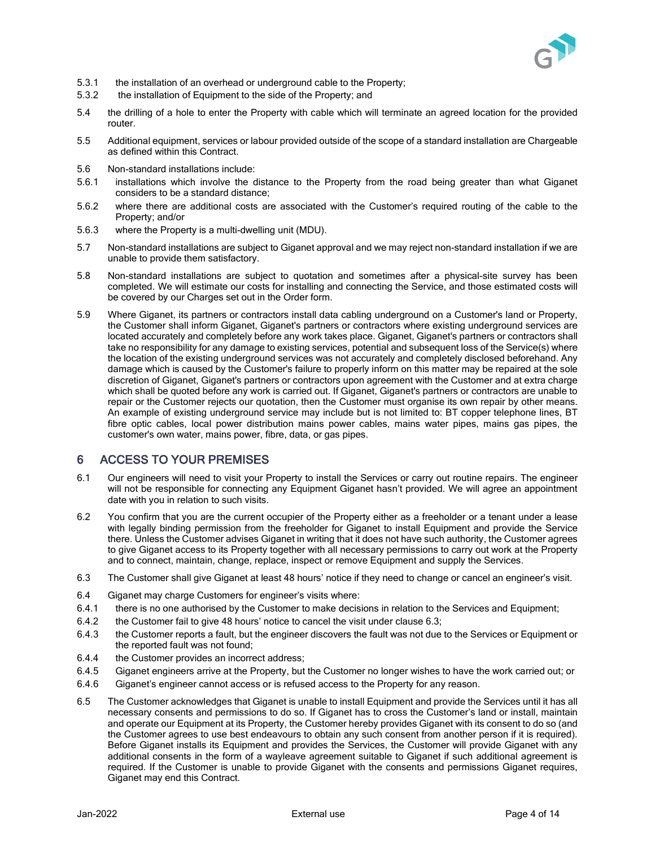

- 5.3.1 the installation of an overhead or underground cable to the Property;
- 5.3.2 the installation of Equipment to the side of the Property; and
- 5.4 the drilling of a hole to enter the Property with cable which will terminate an agreed location for the provided router.
- 5.5 Additional equipment, services or labour provided outside of the scope of a standard installation are Chargeable as defined within this Contract.
- 5.6 Non-standard installations include:
- 5.6.1 installations which involve the distance to the Property from the road being greater than what Giganet considers to be a standard distance;
- 5.6.2 where there are additional costs are associated with the Customer's required routing of the cable to the Property; and/or
- 5.6.3 where the Property is a multi-dwelling unit (MDU).
- 5.7 Non-standard installations are subject to Giganet approval and we may reject non-standard installation if we are unable to provide them satisfactory.
- 5.8 Non-standard installations are subject to quotation and sometimes after a physical-site survey has been completed. We will estimate our costs for installing and connecting the Service, and those estimated costs will be covered by our Charges set out in the Order form.
- 5.9 Where Giganet, its partners or contractors install data cabling underground on a Customer's land or Property, the Customer shall inform Giganet, Giganet's partners or contractors where existing underground services are located accurately and completely before any work takes place. Giganet, Giganet's partners or contractors shall take no responsibility for any damage to existing services, potential and subsequent loss of the Service(s) where the location of the existing underground services was not accurately and completely disclosed beforehand. Any damage which is caused by the Customer's failure to properly inform on this matter may be repaired at the sole discretion of Giganet, Giganet's partners or contractors upon agreement with the Customer and at extra charge which shall be quoted before any work is carried out. If Giganet, Giganet's partners or contractors are unable to repair or the Customer rejects our quotation, then the Customer must organise its own repair by other means. An example of existing underground service may include but is not limited to: BT copper telephone lines, BT fibre optic cables, local power distribution mains power cables, mains water pipes, mains gas pipes, the customer's own water, mains power, fibre, data, or gas pipes.

## 6 ACCESS TO YOUR PREMISES

- 6.1 Our engineers will need to visit your Property to install the Services or carry out routine repairs. The engineer will not be responsible for connecting any Equipment Giganet hasn't provided. We will agree an appointment date with you in relation to such visits.
- 6.2 You confirm that you are the current occupier of the Property either as a freeholder or a tenant under a lease with legally binding permission from the freeholder for Giganet to install Equipment and provide the Service there. Unless the Customer advises Giganet in writing that it does not have such authority, the Customer agrees to give Giganet access to its Property together with all necessary permissions to carry out work at the Property and to connect, maintain, change, replace, inspect or remove Equipment and supply the Services.
- <span id="page-3-0"></span>6.3 The Customer shall give Giganet at least 48 hours' notice if they need to change or cancel an engineer's visit.
- 6.4 Giganet may charge Customers for engineer's visits where:
- 6.4.1 there is no one authorised by the Customer to make decisions in relation to the Services and Equipment;
- 6.4.2 the Customer fail to give 48 hours' notice to cancel the visit under clause [6.3;](#page-3-0)
- 6.4.3 the Customer reports a fault, but the engineer discovers the fault was not due to the Services or Equipment or the reported fault was not found;
- 6.4.4 the Customer provides an incorrect address;
- 6.4.5 Giganet engineers arrive at the Property, but the Customer no longer wishes to have the work carried out; or
- 6.4.6 Giganet's engineer cannot access or is refused access to the Property for any reason.
- 6.5 The Customer acknowledges that Giganet is unable to install Equipment and provide the Services until it has all necessary consents and permissions to do so. If Giganet has to cross the Customer's land or install, maintain and operate our Equipment at its Property, the Customer hereby provides Giganet with its consent to do so (and the Customer agrees to use best endeavours to obtain any such consent from another person if it is required). Before Giganet installs its Equipment and provides the Services, the Customer will provide Giganet with any additional consents in the form of a wayleave agreement suitable to Giganet if such additional agreement is required. If the Customer is unable to provide Giganet with the consents and permissions Giganet requires, Giganet may end this Contract.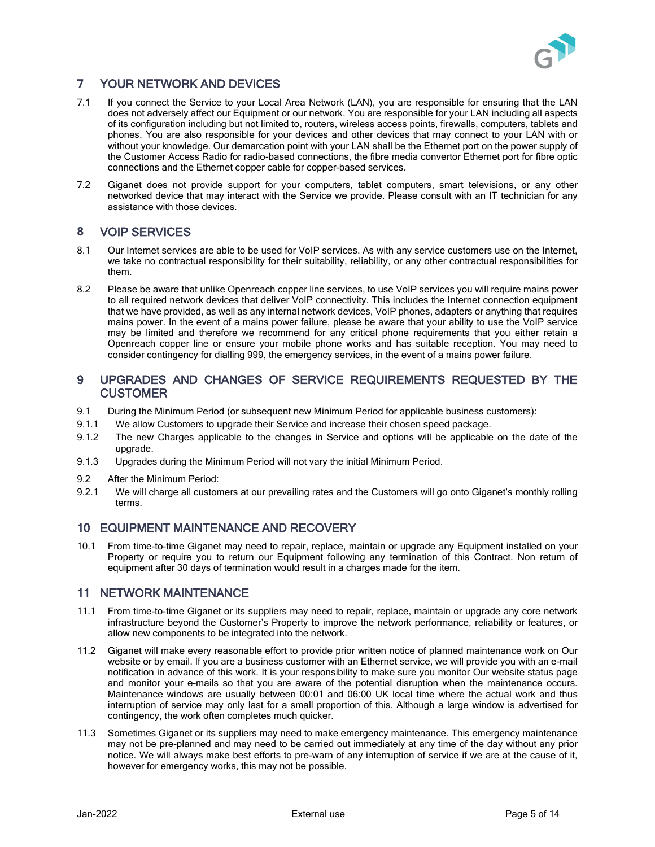

# 7 YOUR NETWORK AND DEVICES

- 7.1 If you connect the Service to your Local Area Network (LAN), you are responsible for ensuring that the LAN does not adversely affect our Equipment or our network. You are responsible for your LAN including all aspects of its configuration including but not limited to, routers, wireless access points, firewalls, computers, tablets and phones. You are also responsible for your devices and other devices that may connect to your LAN with or without your knowledge. Our demarcation point with your LAN shall be the Ethernet port on the power supply of the Customer Access Radio for radio-based connections, the fibre media convertor Ethernet port for fibre optic connections and the Ethernet copper cable for copper-based services.
- 7.2 Giganet does not provide support for your computers, tablet computers, smart televisions, or any other networked device that may interact with the Service we provide. Please consult with an IT technician for any assistance with those devices.

### **8** VOIP SERVICES

- 8.1 Our Internet services are able to be used for VoIP services. As with any service customers use on the Internet, we take no contractual responsibility for their suitability, reliability, or any other contractual responsibilities for them.
- 8.2 Please be aware that unlike Openreach copper line services, to use VoIP services you will require mains power to all required network devices that deliver VoIP connectivity. This includes the Internet connection equipment that we have provided, as well as any internal network devices, VoIP phones, adapters or anything that requires mains power. In the event of a mains power failure, please be aware that your ability to use the VoIP service may be limited and therefore we recommend for any critical phone requirements that you either retain a Openreach copper line or ensure your mobile phone works and has suitable reception. You may need to consider contingency for dialling 999, the emergency services, in the event of a mains power failure.

#### 9 UPGRADES AND CHANGES OF SERVICE REQUIREMENTS REQUESTED BY THE **CUSTOMER**

- 9.1 During the Minimum Period (or subsequent new Minimum Period for applicable business customers):
- 9.1.1 We allow Customers to upgrade their Service and increase their chosen speed package.
- 9.1.2 The new Charges applicable to the changes in Service and options will be applicable on the date of the upgrade.
- 9.1.3 Upgrades during the Minimum Period will not vary the initial Minimum Period.
- 9.2 After the Minimum Period:
- 9.2.1 We will charge all customers at our prevailing rates and the Customers will go onto Giganet's monthly rolling terms.

## 10 EQUIPMENT MAINTENANCE AND RECOVERY

10.1 From time-to-time Giganet may need to repair, replace, maintain or upgrade any Equipment installed on your Property or require you to return our Equipment following any termination of this Contract. Non return of equipment after 30 days of termination would result in a charges made for the item.

## 11 NETWORK MAINTENANCE

- 11.1 From time-to-time Giganet or its suppliers may need to repair, replace, maintain or upgrade any core network infrastructure beyond the Customer's Property to improve the network performance, reliability or features, or allow new components to be integrated into the network.
- 11.2 Giganet will make every reasonable effort to provide prior written notice of planned maintenance work on Our website or by email. If you are a business customer with an Ethernet service, we will provide you with an e-mail notification in advance of this work. It is your responsibility to make sure you monitor Our website status page and monitor your e-mails so that you are aware of the potential disruption when the maintenance occurs. Maintenance windows are usually between 00:01 and 06:00 UK local time where the actual work and thus interruption of service may only last for a small proportion of this. Although a large window is advertised for contingency, the work often completes much quicker.
- 11.3 Sometimes Giganet or its suppliers may need to make emergency maintenance. This emergency maintenance may not be pre-planned and may need to be carried out immediately at any time of the day without any prior notice. We will always make best efforts to pre-warn of any interruption of service if we are at the cause of it, however for emergency works, this may not be possible.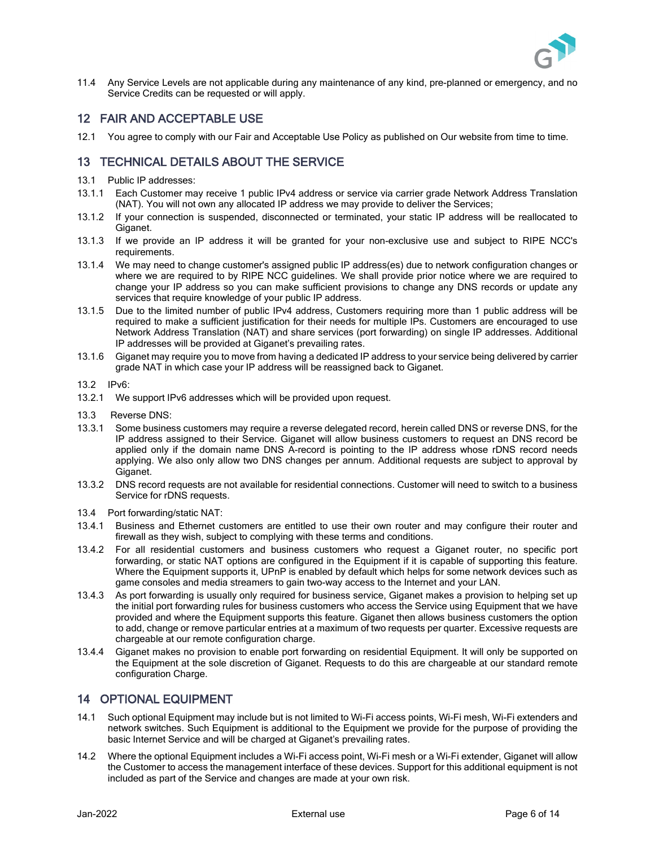

11.4 Any Service Levels are not applicable during any maintenance of any kind, pre-planned or emergency, and no Service Credits can be requested or will apply.

#### 12 FAIR AND ACCEPTABLE USE

12.1 You agree to comply with our Fair and Acceptable Use Policy as published on Our website from time to time.

## 13 TECHNICAL DETAILS ABOUT THE SERVICE

- 13.1 Public IP addresses:
- 13.1.1 Each Customer may receive 1 public IPv4 address or service via carrier grade Network Address Translation (NAT). You will not own any allocated IP address we may provide to deliver the Services;
- 13.1.2 If your connection is suspended, disconnected or terminated, your static IP address will be reallocated to Giganet.
- 13.1.3 If we provide an IP address it will be granted for your non-exclusive use and subject to RIPE NCC's requirements.
- 13.1.4 We may need to change customer's assigned public IP address(es) due to network configuration changes or where we are required to by RIPE NCC guidelines. We shall provide prior notice where we are required to change your IP address so you can make sufficient provisions to change any DNS records or update any services that require knowledge of your public IP address.
- 13.1.5 Due to the limited number of public IPv4 address, Customers requiring more than 1 public address will be required to make a sufficient justification for their needs for multiple IPs. Customers are encouraged to use Network Address Translation (NAT) and share services (port forwarding) on single IP addresses. Additional IP addresses will be provided at Giganet's prevailing rates.
- 13.1.6 Giganet may require you to move from having a dedicated IP address to your service being delivered by carrier grade NAT in which case your IP address will be reassigned back to Giganet.
- 13.2 IPv6:
- 13.2.1 We support IPv6 addresses which will be provided upon request.
- 13.3 Reverse DNS:
- 13.3.1 Some business customers may require a reverse delegated record, herein called DNS or reverse DNS, for the IP address assigned to their Service. Giganet will allow business customers to request an DNS record be applied only if the domain name DNS A-record is pointing to the IP address whose rDNS record needs applying. We also only allow two DNS changes per annum. Additional requests are subject to approval by Giganet.
- 13.3.2 DNS record requests are not available for residential connections. Customer will need to switch to a business Service for rDNS requests.
- 13.4 Port forwarding/static NAT:
- 13.4.1 Business and Ethernet customers are entitled to use their own router and may configure their router and firewall as they wish, subject to complying with these terms and conditions.
- 13.4.2 For all residential customers and business customers who request a Giganet router, no specific port forwarding, or static NAT options are configured in the Equipment if it is capable of supporting this feature. Where the Equipment supports it, UPnP is enabled by default which helps for some network devices such as game consoles and media streamers to gain two-way access to the Internet and your LAN.
- 13.4.3 As port forwarding is usually only required for business service, Giganet makes a provision to helping set up the initial port forwarding rules for business customers who access the Service using Equipment that we have provided and where the Equipment supports this feature. Giganet then allows business customers the option to add, change or remove particular entries at a maximum of two requests per quarter. Excessive requests are chargeable at our remote configuration charge.
- 13.4.4 Giganet makes no provision to enable port forwarding on residential Equipment. It will only be supported on the Equipment at the sole discretion of Giganet. Requests to do this are chargeable at our standard remote configuration Charge.

## 14 OPTIONAL EQUIPMENT

- 14.1 Such optional Equipment may include but is not limited to Wi-Fi access points, Wi-Fi mesh, Wi-Fi extenders and network switches. Such Equipment is additional to the Equipment we provide for the purpose of providing the basic Internet Service and will be charged at Giganet's prevailing rates.
- 14.2 Where the optional Equipment includes a Wi-Fi access point, Wi-Fi mesh or a Wi-Fi extender, Giganet will allow the Customer to access the management interface of these devices. Support for this additional equipment is not included as part of the Service and changes are made at your own risk.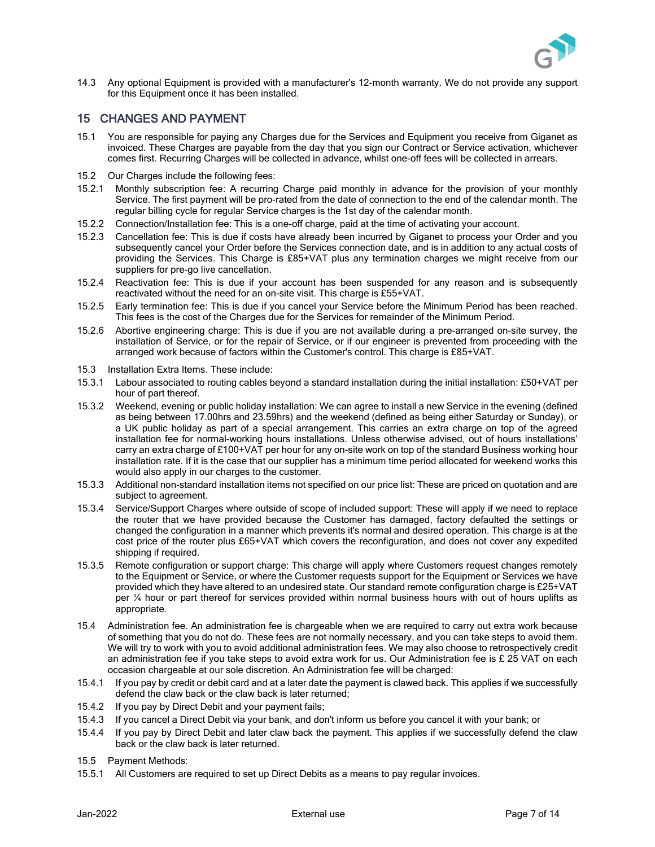

14.3 Any optional Equipment is provided with a manufacturer's 12-month warranty. We do not provide any support for this Equipment once it has been installed.

### 15 CHANGES AND PAYMENT

- 15.1 You are responsible for paying any Charges due for the Services and Equipment you receive from Giganet as invoiced. These Charges are payable from the day that you sign our Contract or Service activation, whichever comes first. Recurring Charges will be collected in advance, whilst one-off fees will be collected in arrears.
- 15.2 Our Charges include the following fees:
- 15.2.1 Monthly subscription fee: A recurring Charge paid monthly in advance for the provision of your monthly Service. The first payment will be pro-rated from the date of connection to the end of the calendar month. The regular billing cycle for regular Service charges is the 1st day of the calendar month.
- 15.2.2 Connection/Installation fee: This is a one-off charge, paid at the time of activating your account.
- 15.2.3 Cancellation fee: This is due if costs have already been incurred by Giganet to process your Order and you subsequently cancel your Order before the Services connection date, and is in addition to any actual costs of providing the Services. This Charge is £85+VAT plus any termination charges we might receive from our suppliers for pre-go live cancellation.
- 15.2.4 Reactivation fee: This is due if your account has been suspended for any reason and is subsequently reactivated without the need for an on-site visit. This charge is £55+VAT.
- <span id="page-6-1"></span>15.2.5 Early termination fee: This is due if you cancel your Service before the Minimum Period has been reached. This fees is the cost of the Charges due for the Services for remainder of the Minimum Period.
- 15.2.6 Abortive engineering charge: This is due if you are not available during a pre-arranged on-site survey, the installation of Service, or for the repair of Service, or if our engineer is prevented from proceeding with the arranged work because of factors within the Customer's control. This charge is £85+VAT.
- 15.3 Installation Extra Items. These include:
- 15.3.1 Labour associated to routing cables beyond a standard installation during the initial installation: £50+VAT per hour of part thereof.
- 15.3.2 Weekend, evening or public holiday installation: We can agree to install a new Service in the evening (defined as being between 17.00hrs and 23.59hrs) and the weekend (defined as being either Saturday or Sunday), or a UK public holiday as part of a special arrangement. This carries an extra charge on top of the agreed installation fee for normal-working hours installations. Unless otherwise advised, out of hours installations' carry an extra charge of £100+VAT per hour for any on-site work on top of the standard Business working hour installation rate. If it is the case that our supplier has a minimum time period allocated for weekend works this would also apply in our charges to the customer.
- 15.3.3 Additional non-standard installation items not specified on our price list: These are priced on quotation and are subject to agreement.
- 15.3.4 Service/Support Charges where outside of scope of included support: These will apply if we need to replace the router that we have provided because the Customer has damaged, factory defaulted the settings or changed the configuration in a manner which prevents it's normal and desired operation. This charge is at the cost price of the router plus £65+VAT which covers the reconfiguration, and does not cover any expedited shipping if required.
- 15.3.5 Remote configuration or support charge: This charge will apply where Customers request changes remotely to the Equipment or Service, or where the Customer requests support for the Equipment or Services we have provided which they have altered to an undesired state. Our standard remote configuration charge is £25+VAT per ¼ hour or part thereof for services provided within normal business hours with out of hours uplifts as appropriate.
- <span id="page-6-0"></span>15.4 Administration fee. An administration fee is chargeable when we are required to carry out extra work because of something that you do not do. These fees are not normally necessary, and you can take steps to avoid them. We will try to work with you to avoid additional administration fees. We may also choose to retrospectively credit an administration fee if you take steps to avoid extra work for us. Our Administration fee is £ 25 VAT on each occasion chargeable at our sole discretion. An Administration fee will be charged:
- 15.4.1 If you pay by credit or debit card and at a later date the payment is clawed back. This applies if we successfully defend the claw back or the claw back is later returned;
- 15.4.2 If you pay by Direct Debit and your payment fails;
- 15.4.3 If you cancel a Direct Debit via your bank, and don't inform us before you cancel it with your bank; or
- 15.4.4 If you pay by Direct Debit and later claw back the payment. This applies if we successfully defend the claw back or the claw back is later returned.
- 15.5 Payment Methods:
- 15.5.1 All Customers are required to set up Direct Debits as a means to pay regular invoices.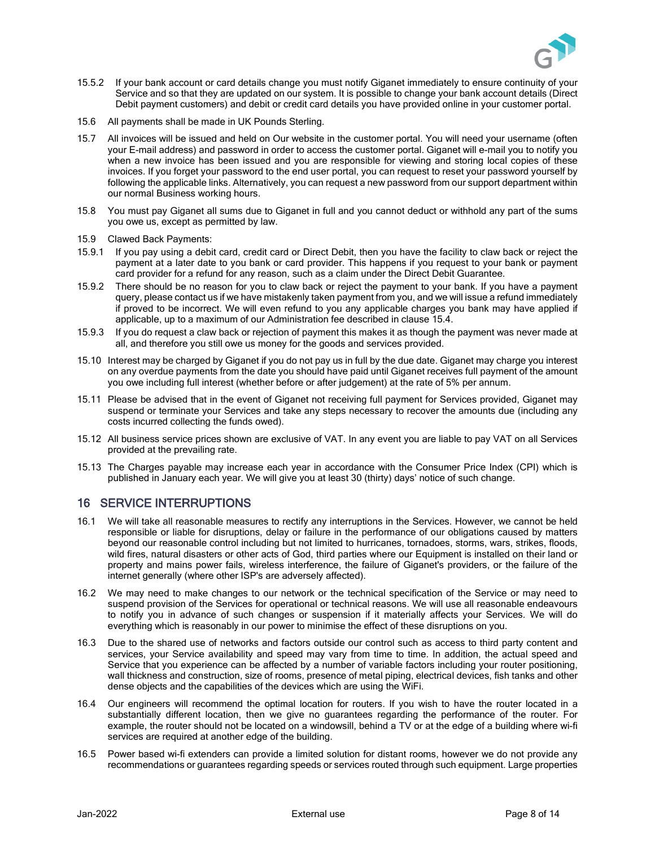

- 15.5.2 If your bank account or card details change you must notify Giganet immediately to ensure continuity of your Service and so that they are updated on our system. It is possible to change your bank account details (Direct Debit payment customers) and debit or credit card details you have provided online in your customer portal.
- <span id="page-7-1"></span>15.6 All payments shall be made in UK Pounds Sterling.
- 15.7 All invoices will be issued and held on Our website in the customer portal. You will need your username (often your E-mail address) and password in order to access the customer portal. Giganet will e-mail you to notify you when a new invoice has been issued and you are responsible for viewing and storing local copies of these invoices. If you forget your password to the end user portal, you can request to reset your password yourself by following the applicable links. Alternatively, you can request a new password from our support department within our normal Business working hours.
- 15.8 You must pay Giganet all sums due to Giganet in full and you cannot deduct or withhold any part of the sums you owe us, except as permitted by law.
- 15.9 Clawed Back Payments:
- 15.9.1 If you pay using a debit card, credit card or Direct Debit, then you have the facility to claw back or reject the payment at a later date to you bank or card provider. This happens if you request to your bank or payment card provider for a refund for any reason, such as a claim under the Direct Debit Guarantee.
- 15.9.2 There should be no reason for you to claw back or reject the payment to your bank. If you have a payment query, please contact us if we have mistakenly taken payment from you, and we will issue a refund immediately if proved to be incorrect. We will even refund to you any applicable charges you bank may have applied if applicable, up to a maximum of our Administration fee described in clause [15.4.](#page-6-0)
- 15.9.3 If you do request a claw back or rejection of payment this makes it as though the payment was never made at all, and therefore you still owe us money for the goods and services provided.
- 15.10 Interest may be charged by Giganet if you do not pay us in full by the due date. Giganet may charge you interest on any overdue payments from the date you should have paid until Giganet receives full payment of the amount you owe including full interest (whether before or after judgement) at the rate of 5% per annum.
- 15.11 Please be advised that in the event of Giganet not receiving full payment for Services provided, Giganet may suspend or terminate your Services and take any steps necessary to recover the amounts due (including any costs incurred collecting the funds owed).
- 15.12 All business service prices shown are exclusive of VAT. In any event you are liable to pay VAT on all Services provided at the prevailing rate.
- 15.13 The Charges payable may increase each year in accordance with the Consumer Price Index (CPI) which is published in January each year. We will give you at least 30 (thirty) days' notice of such change.

#### 16 SERVICE INTERRUPTIONS

- <span id="page-7-0"></span>16.1 We will take all reasonable measures to rectify any interruptions in the Services. However, we cannot be held responsible or liable for disruptions, delay or failure in the performance of our obligations caused by matters beyond our reasonable control including but not limited to hurricanes, tornadoes, storms, wars, strikes, floods, wild fires, natural disasters or other acts of God, third parties where our Equipment is installed on their land or property and mains power fails, wireless interference, the failure of Giganet's providers, or the failure of the internet generally (where other ISP's are adversely affected).
- 16.2 We may need to make changes to our network or the technical specification of the Service or may need to suspend provision of the Services for operational or technical reasons. We will use all reasonable endeavours to notify you in advance of such changes or suspension if it materially affects your Services. We will do everything which is reasonably in our power to minimise the effect of these disruptions on you.
- 16.3 Due to the shared use of networks and factors outside our control such as access to third party content and services, your Service availability and speed may vary from time to time. In addition, the actual speed and Service that you experience can be affected by a number of variable factors including your router positioning, wall thickness and construction, size of rooms, presence of metal piping, electrical devices, fish tanks and other dense objects and the capabilities of the devices which are using the WiFi.
- 16.4 Our engineers will recommend the optimal location for routers. If you wish to have the router located in a substantially different location, then we give no guarantees regarding the performance of the router. For example, the router should not be located on a windowsill, behind a TV or at the edge of a building where wi-fi services are required at another edge of the building.
- 16.5 Power based wi-fi extenders can provide a limited solution for distant rooms, however we do not provide any recommendations or guarantees regarding speeds or services routed through such equipment. Large properties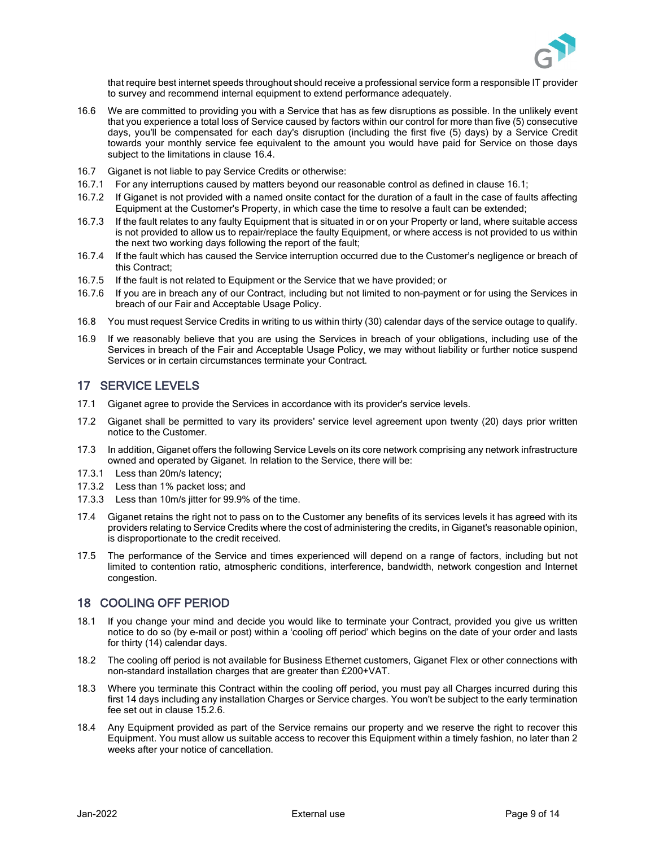

that require best internet speeds throughout should receive a professional service form a responsible IT provider to survey and recommend internal equipment to extend performance adequately.

- 16.6 We are committed to providing you with a Service that has as few disruptions as possible. In the unlikely event that you experience a total loss of Service caused by factors within our control for more than five (5) consecutive days, you'll be compensated for each day's disruption (including the first five (5) days) by a Service Credit towards your monthly service fee equivalent to the amount you would have paid for Service on those days subject to the limitations in clause [16.4.](#page-8-1)
- <span id="page-8-1"></span>16.7 Giganet is not liable to pay Service Credits or otherwise:
- 16.7.1 For any interruptions caused by matters beyond our reasonable control as defined in clause [16.1;](#page-7-0)
- 16.7.2 If Giganet is not provided with a named onsite contact for the duration of a fault in the case of faults affecting Equipment at the Customer's Property, in which case the time to resolve a fault can be extended;
- 16.7.3 If the fault relates to any faulty Equipment that is situated in or on your Property or land, where suitable access is not provided to allow us to repair/replace the faulty Equipment, or where access is not provided to us within the next two working days following the report of the fault;
- 16.7.4 If the fault which has caused the Service interruption occurred due to the Customer's negligence or breach of this Contract;
- 16.7.5 If the fault is not related to Equipment or the Service that we have provided; or
- 16.7.6 If you are in breach any of our Contract, including but not limited to non-payment or for using the Services in breach of our Fair and Acceptable Usage Policy.
- 16.8 You must request Service Credits in writing to us within thirty (30) calendar days of the service outage to qualify.
- 16.9 If we reasonably believe that you are using the Services in breach of your obligations, including use of the Services in breach of the Fair and Acceptable Usage Policy, we may without liability or further notice suspend Services or in certain circumstances terminate your Contract.

#### <span id="page-8-0"></span>17 SERVICE LEVELS

- 17.1 Giganet agree to provide the Services in accordance with its provider's service levels.
- 17.2 Giganet shall be permitted to vary its providers' service level agreement upon twenty (20) days prior written notice to the Customer.
- 17.3 In addition, Giganet offers the following Service Levels on its core network comprising any network infrastructure owned and operated by Giganet. In relation to the Service, there will be:
- 17.3.1 Less than 20m/s latency;
- 17.3.2 Less than 1% packet loss; and
- 17.3.3 Less than 10m/s jitter for 99.9% of the time.
- 17.4 Giganet retains the right not to pass on to the Customer any benefits of its services levels it has agreed with its providers relating to Service Credits where the cost of administering the credits, in Giganet's reasonable opinion, is disproportionate to the credit received.
- 17.5 The performance of the Service and times experienced will depend on a range of factors, including but not limited to contention ratio, atmospheric conditions, interference, bandwidth, network congestion and Internet congestion.

#### 18 COOLING OFF PERIOD

- 18.1 If you change your mind and decide you would like to terminate your Contract, provided you give us written notice to do so (by e-mail or post) within a 'cooling off period' which begins on the date of your order and lasts for thirty (14) calendar days.
- 18.2 The cooling off period is not available for Business Ethernet customers, Giganet Flex or other connections with non-standard installation charges that are greater than £200+VAT.
- 18.3 Where you terminate this Contract within the cooling off period, you must pay all Charges incurred during this first 14 days including any installation Charges or Service charges. You won't be subject to the early termination fee set out in clause [15.2.6.](#page-6-1)
- 18.4 Any Equipment provided as part of the Service remains our property and we reserve the right to recover this Equipment. You must allow us suitable access to recover this Equipment within a timely fashion, no later than 2 weeks after your notice of cancellation.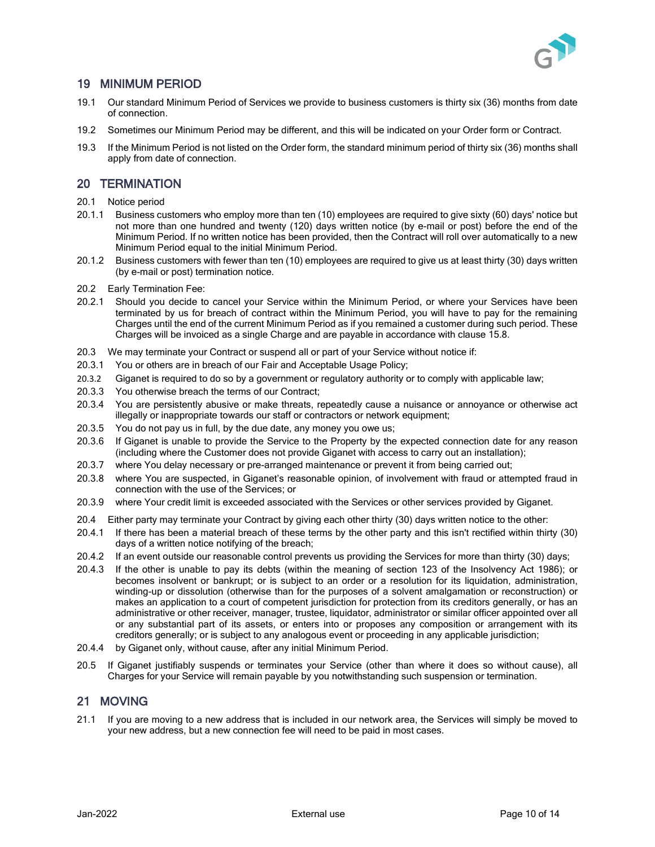

## 19 MINIMUM PERIOD

- 19.1 Our standard Minimum Period of Services we provide to business customers is thirty six (36) months from date of connection.
- 19.2 Sometimes our Minimum Period may be different, and this will be indicated on your Order form or Contract.
- 19.3 If the Minimum Period is not listed on the Order form, the standard minimum period of thirty six (36) months shall apply from date of connection.

#### 20 TERMINATION

- 20.1 Notice period
- 20.1.1 Business customers who employ more than ten (10) employees are required to give sixty (60) days' notice but not more than one hundred and twenty (120) days written notice (by e-mail or post) before the end of the Minimum Period. If no written notice has been provided, then the Contract will roll over automatically to a new Minimum Period equal to the initial Minimum Period.
- 20.1.2 Business customers with fewer than ten (10) employees are required to give us at least thirty (30) days written (by e-mail or post) termination notice.
- 20.2 Early Termination Fee:
- 20.2.1 Should you decide to cancel your Service within the Minimum Period, or where your Services have been terminated by us for breach of contract within the Minimum Period, you will have to pay for the remaining Charges until the end of the current Minimum Period as if you remained a customer during such period. These Charges will be invoiced as a single Charge and are payable in accordance with claus[e 15.8.](#page-7-1)
- 20.3 We may terminate your Contract or suspend all or part of your Service without notice if:
- 20.3.1 You or others are in breach of our Fair and Acceptable Usage Policy;
- 20.3.2 Giganet is required to do so by a government or regulatory authority or to comply with applicable law;
- 20.3.3 You otherwise breach the terms of our Contract;
- 20.3.4 You are persistently abusive or make threats, repeatedly cause a nuisance or annoyance or otherwise act illegally or inappropriate towards our staff or contractors or network equipment;
- 20.3.5 You do not pay us in full, by the due date, any money you owe us;
- 20.3.6 If Giganet is unable to provide the Service to the Property by the expected connection date for any reason (including where the Customer does not provide Giganet with access to carry out an installation);
- 20.3.7 where You delay necessary or pre-arranged maintenance or prevent it from being carried out;
- 20.3.8 where You are suspected, in Giganet's reasonable opinion, of involvement with fraud or attempted fraud in connection with the use of the Services; or
- 20.3.9 where Your credit limit is exceeded associated with the Services or other services provided by Giganet.
- 20.4 Either party may terminate your Contract by giving each other thirty (30) days written notice to the other:
- 20.4.1 If there has been a material breach of these terms by the other party and this isn't rectified within thirty (30) days of a written notice notifying of the breach;
- 20.4.2 If an event outside our reasonable control prevents us providing the Services for more than thirty (30) days;
- 20.4.3 If the other is unable to pay its debts (within the meaning of section 123 of the Insolvency Act 1986); or becomes insolvent or bankrupt; or is subject to an order or a resolution for its liquidation, administration, winding-up or dissolution (otherwise than for the purposes of a solvent amalgamation or reconstruction) or makes an application to a court of competent jurisdiction for protection from its creditors generally, or has an administrative or other receiver, manager, trustee, liquidator, administrator or similar officer appointed over all or any substantial part of its assets, or enters into or proposes any composition or arrangement with its creditors generally; or is subject to any analogous event or proceeding in any applicable jurisdiction;
- 20.4.4 by Giganet only, without cause, after any initial Minimum Period.
- 20.5 If Giganet justifiably suspends or terminates your Service (other than where it does so without cause), all Charges for your Service will remain payable by you notwithstanding such suspension or termination.

## 21 MOVING

21.1 If you are moving to a new address that is included in our network area, the Services will simply be moved to your new address, but a new connection fee will need to be paid in most cases.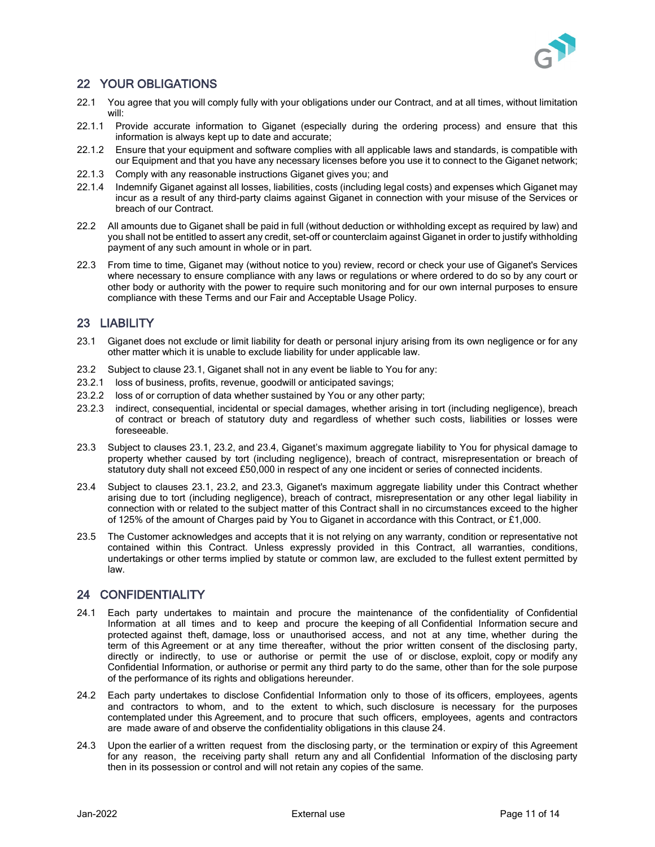

## 22 YOUR OBLIGATIONS

- 22.1 You agree that you will comply fully with your obligations under our Contract, and at all times, without limitation will:
- 22.1.1 Provide accurate information to Giganet (especially during the ordering process) and ensure that this information is always kept up to date and accurate;
- 22.1.2 Ensure that your equipment and software complies with all applicable laws and standards, is compatible with our Equipment and that you have any necessary licenses before you use it to connect to the Giganet network;
- 22.1.3 Comply with any reasonable instructions Giganet gives you; and
- 22.1.4 Indemnify Giganet against all losses, liabilities, costs (including legal costs) and expenses which Giganet may incur as a result of any third-party claims against Giganet in connection with your misuse of the Services or breach of our Contract.
- 22.2 All amounts due to Giganet shall be paid in full (without deduction or withholding except as required by law) and you shall not be entitled to assert any credit, set-off or counterclaim against Giganet in order to justify withholding payment of any such amount in whole or in part.
- 22.3 From time to time, Giganet may (without notice to you) review, record or check your use of Giganet's Services where necessary to ensure compliance with any laws or regulations or where ordered to do so by any court or other body or authority with the power to require such monitoring and for our own internal purposes to ensure compliance with these Terms and our Fair and Acceptable Usage Policy.

# 23 LIABILITY

- <span id="page-10-0"></span>23.1 Giganet does not exclude or limit liability for death or personal injury arising from its own negligence or for any other matter which it is unable to exclude liability for under applicable law.
- <span id="page-10-1"></span>23.2 Subject to clause [23.1,](#page-10-0) Giganet shall not in any event be liable to You for any:
- 23.2.1 loss of business, profits, revenue, goodwill or anticipated savings;
- 23.2.2 loss of or corruption of data whether sustained by You or any other party;
- 23.2.3 indirect, consequential, incidental or special damages, whether arising in tort (including negligence), breach of contract or breach of statutory duty and regardless of whether such costs, liabilities or losses were foreseeable.
- <span id="page-10-3"></span>23.3 Subject to clauses [23.1,](#page-10-0) [23.2,](#page-10-1) and [23.4,](#page-10-2) Giganet's maximum aggregate liability to You for physical damage to property whether caused by tort (including negligence), breach of contract, misrepresentation or breach of statutory duty shall not exceed £50,000 in respect of any one incident or series of connected incidents.
- <span id="page-10-2"></span>23.4 Subject to clauses [23.1,](#page-10-0) [23.2,](#page-10-1) and [23.3,](#page-10-3) Giganet's maximum aggregate liability under this Contract whether arising due to tort (including negligence), breach of contract, misrepresentation or any other legal liability in connection with or related to the subject matter of this Contract shall in no circumstances exceed to the higher of 125% of the amount of Charges paid by You to Giganet in accordance with this Contract, or £1,000.
- 23.5 The Customer acknowledges and accepts that it is not relying on any warranty, condition or representative not contained within this Contract. Unless expressly provided in this Contract, all warranties, conditions, undertakings or other terms implied by statute or common law, are excluded to the fullest extent permitted by law.

## 24 CONFIDENTIALITY

- 24.1 Each party undertakes to maintain and procure the maintenance of the confidentiality of Confidential Information at all times and to keep and procure the keeping of all Confidential Information secure and protected against theft, damage, loss or unauthorised access, and not at any time, whether during the term of this Agreement or at any time thereafter, without the prior written consent of the disclosing party, directly or indirectly, to use or authorise or permit the use of or disclose, exploit, copy or modify any Confidential Information, or authorise or permit any third party to do the same, other than for the sole purpose of the performance of its rights and obligations hereunder.
- 24.2 Each party undertakes to disclose Confidential Information only to those of its officers, employees, agents and contractors to whom, and to the extent to which, such disclosure is necessary for the purposes contemplated under this Agreement, and to procure that such officers, employees, agents and contractors are made aware of and observe the confidentiality obligations in this clause 24.
- 24.3 Upon the earlier of a written request from the disclosing party, or the termination or expiry of this Agreement for any reason, the receiving party shall return any and all Confidential Information of the disclosing party then in its possession or control and will not retain any copies of the same.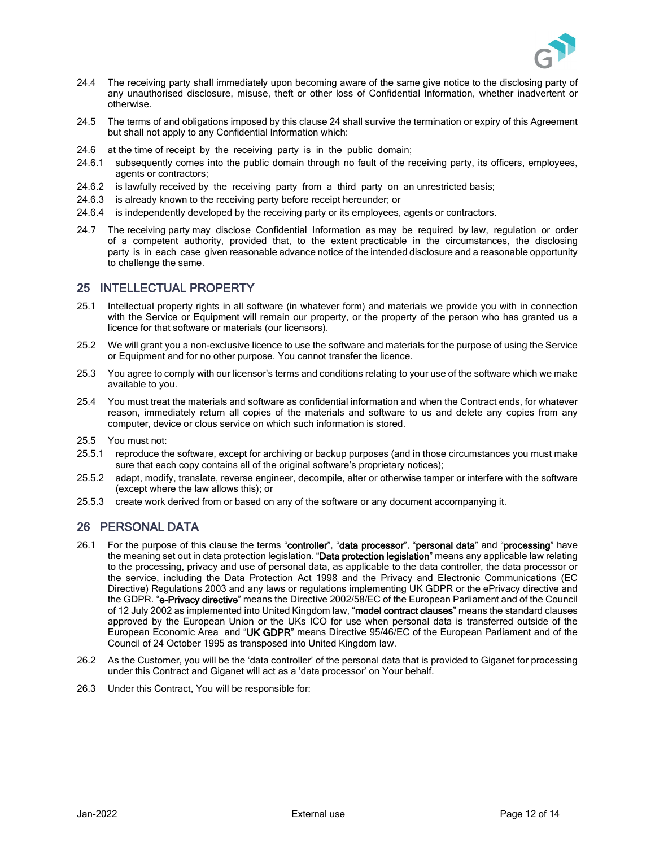

- 24.4 The receiving party shall immediately upon becoming aware of the same give notice to the disclosing party of any unauthorised disclosure, misuse, theft or other loss of Confidential Information, whether inadvertent or otherwise.
- 24.5 The terms of and obligations imposed by this clause 24 shall survive the termination or expiry of this Agreement but shall not apply to any Confidential Information which:
- 24.6 at the time of receipt by the receiving party is in the public domain;
- 24.6.1 subsequently comes into the public domain through no fault of the receiving party, its officers, employees, agents or contractors;
- 24.6.2 is lawfully received by the receiving party from a third party on an unrestricted basis;
- 24.6.3 is already known to the receiving party before receipt hereunder; or
- 24.6.4 is independently developed by the receiving party or its employees, agents or contractors.
- 24.7 The receiving party may disclose Confidential Information as may be required by law, regulation or order of a competent authority, provided that, to the extent practicable in the circumstances, the disclosing party is in each case given reasonable advance notice of the intended disclosure and a reasonable opportunity to challenge the same.

#### 25 INTELLECTUAL PROPERTY

- 25.1 Intellectual property rights in all software (in whatever form) and materials we provide you with in connection with the Service or Equipment will remain our property, or the property of the person who has granted us a licence for that software or materials (our licensors).
- 25.2 We will grant you a non-exclusive licence to use the software and materials for the purpose of using the Service or Equipment and for no other purpose. You cannot transfer the licence.
- 25.3 You agree to comply with our licensor's terms and conditions relating to your use of the software which we make available to you.
- 25.4 You must treat the materials and software as confidential information and when the Contract ends, for whatever reason, immediately return all copies of the materials and software to us and delete any copies from any computer, device or clous service on which such information is stored.
- 25.5 You must not:
- 25.5.1 reproduce the software, except for archiving or backup purposes (and in those circumstances you must make sure that each copy contains all of the original software's proprietary notices);
- 25.5.2 adapt, modify, translate, reverse engineer, decompile, alter or otherwise tamper or interfere with the software (except where the law allows this); or
- 25.5.3 create work derived from or based on any of the software or any document accompanying it.

#### 26 PERSONAL DATA

- 26.1 For the purpose of this clause the terms "controller", "data processor", "personal data" and "processing" have the meaning set out in data protection legislation. "Data protection legislation" means any applicable law relating to the processing, privacy and use of personal data, as applicable to the data controller, the data processor or the service, including the Data Protection Act 1998 and the Privacy and Electronic Communications (EC Directive) Regulations 2003 and any laws or regulations implementing UK GDPR or the ePrivacy directive and the GDPR. "e-Privacy directive" means the Directive 2002/58/EC of the European Parliament and of the Council of 12 July 2002 as implemented into United Kingdom law, "model contract clauses" means the standard clauses approved by the European Union or the UKs ICO for use when personal data is transferred outside of the European Economic Area and "UK GDPR" means Directive 95/46/EC of the European Parliament and of the Council of 24 October 1995 as transposed into United Kingdom law.
- 26.2 As the Customer, you will be the 'data controller' of the personal data that is provided to Giganet for processing under this Contract and Giganet will act as a 'data processor' on Your behalf.
- 26.3 Under this Contract, You will be responsible for: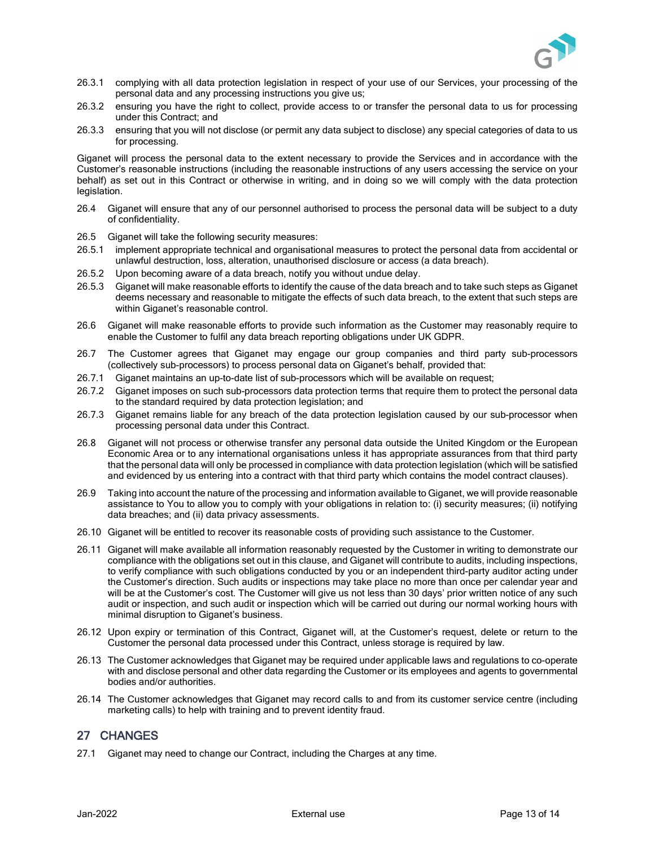

- 26.3.1 complying with all data protection legislation in respect of your use of our Services, your processing of the personal data and any processing instructions you give us;
- 26.3.2 ensuring you have the right to collect, provide access to or transfer the personal data to us for processing under this Contract; and
- 26.3.3 ensuring that you will not disclose (or permit any data subject to disclose) any special categories of data to us for processing.

Giganet will process the personal data to the extent necessary to provide the Services and in accordance with the Customer's reasonable instructions (including the reasonable instructions of any users accessing the service on your behalf) as set out in this Contract or otherwise in writing, and in doing so we will comply with the data protection legislation.

- 26.4 Giganet will ensure that any of our personnel authorised to process the personal data will be subject to a duty of confidentiality.
- 26.5 Giganet will take the following security measures:
- 26.5.1 implement appropriate technical and organisational measures to protect the personal data from accidental or unlawful destruction, loss, alteration, unauthorised disclosure or access (a data breach).
- 26.5.2 Upon becoming aware of a data breach, notify you without undue delay.
- 26.5.3 Giganet will make reasonable efforts to identify the cause of the data breach and to take such steps as Giganet deems necessary and reasonable to mitigate the effects of such data breach, to the extent that such steps are within Giganet's reasonable control.
- 26.6 Giganet will make reasonable efforts to provide such information as the Customer may reasonably require to enable the Customer to fulfil any data breach reporting obligations under UK GDPR.
- 26.7 The Customer agrees that Giganet may engage our group companies and third party sub-processors (collectively sub-processors) to process personal data on Giganet's behalf, provided that:
- 26.7.1 Giganet maintains an up-to-date list of sub-processors which will be available on request;
- 26.7.2 Giganet imposes on such sub-processors data protection terms that require them to protect the personal data to the standard required by data protection legislation; and
- 26.7.3 Giganet remains liable for any breach of the data protection legislation caused by our sub-processor when processing personal data under this Contract.
- 26.8 Giganet will not process or otherwise transfer any personal data outside the United Kingdom or the European Economic Area or to any international organisations unless it has appropriate assurances from that third party that the personal data will only be processed in compliance with data protection legislation (which will be satisfied and evidenced by us entering into a contract with that third party which contains the model contract clauses).
- 26.9 Taking into account the nature of the processing and information available to Giganet, we will provide reasonable assistance to You to allow you to comply with your obligations in relation to: (i) security measures; (ii) notifying data breaches; and (ii) data privacy assessments.
- 26.10 Giganet will be entitled to recover its reasonable costs of providing such assistance to the Customer.
- 26.11 Giganet will make available all information reasonably requested by the Customer in writing to demonstrate our compliance with the obligations set out in this clause, and Giganet will contribute to audits, including inspections, to verify compliance with such obligations conducted by you or an independent third-party auditor acting under the Customer's direction. Such audits or inspections may take place no more than once per calendar year and will be at the Customer's cost. The Customer will give us not less than 30 days' prior written notice of any such audit or inspection, and such audit or inspection which will be carried out during our normal working hours with minimal disruption to Giganet's business.
- 26.12 Upon expiry or termination of this Contract, Giganet will, at the Customer's request, delete or return to the Customer the personal data processed under this Contract, unless storage is required by law.
- 26.13 The Customer acknowledges that Giganet may be required under applicable laws and regulations to co-operate with and disclose personal and other data regarding the Customer or its employees and agents to governmental bodies and/or authorities.
- 26.14 The Customer acknowledges that Giganet may record calls to and from its customer service centre (including marketing calls) to help with training and to prevent identity fraud.

## 27 CHANGES

27.1 Giganet may need to change our Contract, including the Charges at any time.